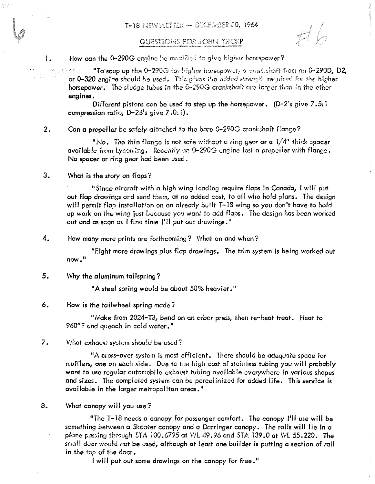## QUESTIONS FOR JOHN THORP

1. How can the 0-290G ergine be modified to give higher horsepower?

"To soup up the 0-290G for higher horsepower, a crankshaft from an 0-290D, D2, **or 0-320** engine should be used. This gives the godded strength required for the higher horsepower. The sludge tubes in the 0-290G crankshaft are larger than in the ether engines.

Different pistons can be used to step up the horsepower.  $(D-2's give 7.5:1)$ compression ratio,  $D-2B$ 's give  $7.0:1$ ).

2. Can a propeller be safely attached to the bare 0-290G crankshaft flange?

"No. The thin flange is not safe without a ring gear or a  $1/4$ " thick spacer available from Lycoming. Recently an 0-290G engine lost a propeller with flange. No spacer or ring gear had been used.

3. What is the story on flaps?

"Since aircraft with a high wing loading require flops in Canada, I will put out flap drawings and send them, at no added cost, to *all* who hold pions. The design will permit flop installation on an already built T–18 wing so you don't have to hold up work on the wing just because you want to add flaps. The design has been warked out and as seen as I find time I'll put out drawings."

4. How many more prints are forthcoming? What on and when?

"Eight more drawings plus flap drawings. The trim system is being worked out **now."** 

5. Why the aluminum tailspring?

"A steel spring would be about 50% heavier."

## 6. How is the tailwheel spring made?

"Make from 2024-T3, bend on an arbor press, then re-heat treat. Heat to 960°F ond quench in cold water."

7. What exhaust system should be used?

"A cross-over system is most efficient. There should be adequate space for mufflers, one on each side. Due to the high cost of stainless tubing you will probably want to use regular automobile exhaust tubing available everywhere in various shapes and sizes. The completed system can be porcelinized for added life. This service is available in the larger metropolitan areas."

S. What canopy will *you* use?

"The T- IS needs a canopy for passenger comfort. The canopy I'll use will be something between a Skooter canopy and a Darringer canopy. The rails will lie in a plane passing through STA 100.6795 at WL 49.96 and STA 139.0 at WL 55.220. The small door would not be used, although at least one builder is putting a section of rail in the top of the door.

I will put out some drawings on the canopy for free."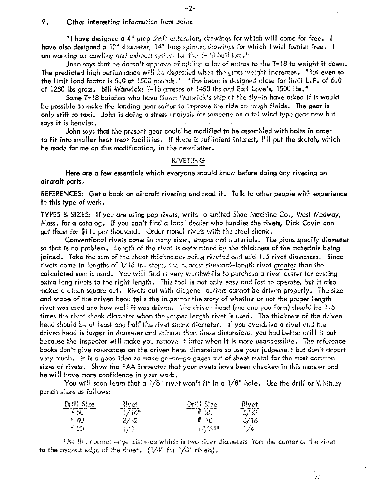Other interesting information from John:

9.

"I have designed a 4" prop shaft extension, drawings for which will come for free. I have also designed a  $12^n$  diameter.  $14^n$  long spinner drawings for which I will furnish free. I am working on cowling and exhaust system for the 3-18 builders."

John says that he doesn't approve of adding a lot of extras to the T-18 to weight it down. The predicted high performance will be degrated when the gross weight increases. "But even so the limit load factor is 5.0 at 1500 pounds.<sup>11</sup> "The beam is designed close for limit L.F. of 6.0 at 1250 lbs aross, Bill Wǎrwicks T-18 grosses at 1450 lbs and Earl Love's,1500 lbs。"

Some T-18 builders who have flown Warwick's ship at the fly-in have asked if it would be possible to make the landing gear softer to improve the ride on rough fields. The gear is only stiff to taxi. John is doing a stress analysis for someone on a tailwind type gear now but says it is heavier.

John says that the present gear could be modified to be assembled with bolts in order to fit into smaller heat treat facilities. if there is sufficient interest, I'll put the sketch, which he made for me on this modification, in the newsletter.

## **RIVETING**

Here are a few essentials which everyone should know before doing any riveting on aircraft parts.

REFERENCES: Get a book on aircraft riveting and read it. Talk to other people with experience in this type of work.

TYPES & SIZES: If you are using pop rivets, write to United Shoe Machine Co., West Medway, Mass, for a catalog. If you can't find a local dealer who handles the rivets, Dick Cavin can get them for \$11. per thousand. Order mone! rivets with the steel shank.

Conventional rivets come in many sizes, shapes and materials. The plans specify diameter so that is no problem. Length of the rivet is determined by the thickness of the materials being joined. Take the sum of the sheet thicknesses being riveted and add 1.5 rivet diameters. Since rivets come in lengths of 1/16 in. steps, the nearest standard-length rivet greater than the calculated sum is used. You will find it very worthwhile to purchase a rivet cutter for cutting extra long rivets to the right length. This tool is not only easy and fast to operate, but it also makes a clean square cut. Rivets cut with diagonal cutters cannot be driven properly. The size and shape of the driven head tells the inspector the story of whether or not the proper length rivet was used and how well it was driven. The driven head (the one you form) should be 1.5 times the rivet shank diameter when the proper length rivet is used. The thickness of the driven head should be at least one half the rivet shank diameter, if you overdrive a rivet and the driven head is larger in diameter and thinner than these dimensions, you had better drill it out because the inspector will make you remove it later when it is more unaccessible. The reference books don't give tolerances on the driven head dimensions so use your judgement but don't depart very much. It is a good idea to make go-no-go gages out of sheet metal for the most common sizes of rivets. Show the FAA inspector that your rivets have been checked in this manner and he will have more confidence in your work.

You will soon learn that a 1/8" rivet won't fit in a 1/8" hole. Use the drill or Whitney punch sizes as follows:

| Drill Size                      | Rivet | DrillSze             | Rivet |
|---------------------------------|-------|----------------------|-------|
| $\overline{\mathscr{F}}$        | 777   | $\frac{1}{\sqrt{2}}$ | セスマ   |
| $#$ 40                          | 3/32  | Ħ.<br>30             | 3/16  |
| $t^{\prime}$ . The $t^{\prime}$ | 1/3   | 17/34"               | 1/4   |

Use the correct edge distance which is two river diameters from the center of the rivet to the necessitied get of the sheet.  $(1/4^n)$  for  $1/8^n$  rivers).

 $\phi_{\mu}^{\mu\nu}$ 

 $\sim$  7  $-$